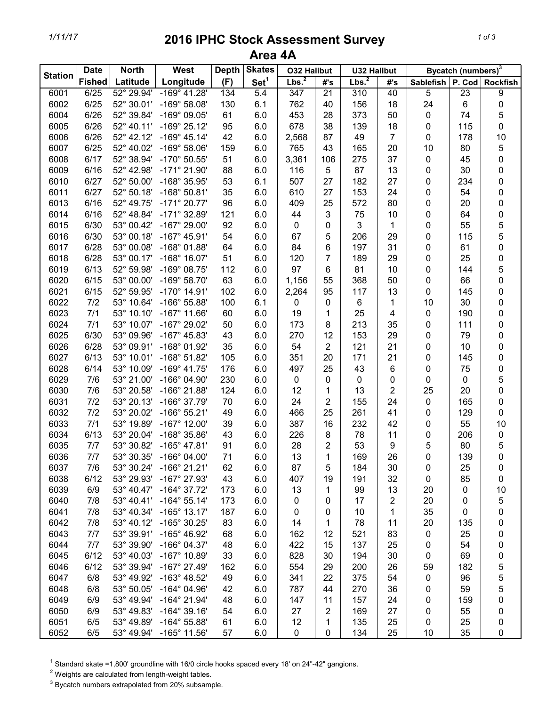## *1/11/17* **2016 IPHC Stock Assessment Survey Area 4A**

| <b>Station</b> | <b>Date</b>   | <b>North</b> | <b>West</b>           | <b>Depth</b> | <b>Skates</b>    | <b>O32 Halibut</b> |                 | <b>U32 Halibut</b> |                | Bycatch (numbers) <sup>3</sup> |             |                 |
|----------------|---------------|--------------|-----------------------|--------------|------------------|--------------------|-----------------|--------------------|----------------|--------------------------------|-------------|-----------------|
|                | <b>Fished</b> | Latitude     | Longitude             | (F)          | Set <sup>1</sup> | Lbs. <sup>2</sup>  | #'s             | Lbs. <sup>2</sup>  | #'s            | Sablefish                      | P. Cod      | <b>Rockfish</b> |
| 6001           | 6/25          | 52° 29.94'   | $-169°$ 41.28'        | 134          | 5.4              | $\overline{347}$   | $\overline{21}$ | $\overline{310}$   | 40             | $\overline{5}$                 | 23          | 9               |
| 6002           | 6/25          | 52° 30.01'   | $-169°58.08'$         | 130          | 6.1              | 762                | 40              | 156                | 18             | 24                             | $\,6$       | 0               |
| 6004           | 6/26          | 52° 39.84'   | -169° 09.05'          | 61           | 6.0              | 453                | 28              | 373                | 50             | 0                              | 74          | 5               |
| 6005           | 6/26          | 52° 40.11'   | $-169^{\circ} 25.12'$ | 95           | 6.0              | 678                | 38              | 139                | 18             | 0                              | 115         | 0               |
| 6006           | 6/26          | 52° 42.12'   | $-169^{\circ}$ 45.14' | 42           | 6.0              | 2,568              | 87              | 49                 | $\overline{7}$ | 0                              | 178         | 10              |
| 6007           | 6/25          | 52° 40.02'   | $-169°58.06'$         | 159          | 6.0              | 765                | 43              | 165                | 20             | 10                             | 80          | 5               |
| 6008           | 6/17          | 52° 38.94'   | -170° 50.55'          | 51           | 6.0              | 3,361              | 106             | 275                | 37             | 0                              | 45          | 0               |
| 6009           | 6/16          | 52° 42.98'   | $-171^{\circ}$ 21.90' | 88           | 6.0              | 116                | 5               | 87                 | 13             | 0                              | 30          | 0               |
| 6010           | 6/27          | 52° 50.00'   | -168° 35.95'          | 53           | 6.1              | 507                | 27              | 182                | 27             | 0                              | 234         | 0               |
| 6011           | 6/27          | 52° 50.18'   | $-168°50.81'$         | 35           | 6.0              | 610                | 27              | 153                | 24             | 0                              | 54          | 0               |
| 6013           | 6/16          | 52° 49.75'   | $-171^{\circ} 20.77'$ | 96           | 6.0              | 409                | 25              | 572                | 80             | 0                              | 20          | 0               |
| 6014           | 6/16          | 52° 48.84'   | $-171^{\circ}$ 32.89' | 121          | 6.0              | 44                 | 3               | 75                 | 10             | 0                              | 64          | 0               |
| 6015           | 6/30          | 53° 00.42'   | $-167^{\circ}$ 29.00' | 92           | 6.0              | $\boldsymbol{0}$   | 0               | 3                  | 1              | 0                              | 55          | 5               |
| 6016           | 6/30          | 53° 00.18'   | $-167^{\circ}$ 45.91' | 54           | 6.0              | 67                 | 5               | 206                | 29             | 0                              | 115         | 5               |
| 6017           | 6/28          | 53° 00.08'   | $-168°01.88'$         | 64           | 6.0              | 84                 | 6               | 197                | 31             | 0                              | 61          | 0               |
| 6018           | 6/28          | 53° 00.17'   | $-168^\circ$ 16.07'   | 51           | 6.0              | 120                | $\overline{7}$  | 189                | 29             | 0                              | 25          | 0               |
| 6019           | 6/13          | 52° 59.98'   | $-169°08.75'$         | 112          | 6.0              | 97                 | 6               | 81                 | 10             | 0                              | 144         | 5               |
| 6020           | 6/15          | 53° 00.00'   | $-169°58.70'$         | 63           | 6.0              | 1,156              | 55              | 368                | 50             | 0                              | 66          | 0               |
| 6021           | 6/15          | 52° 59.95'   | $-170^{\circ}$ 14.91' | 102          | 6.0              | 2,264              | 95              | 117                | 13             | 0                              | 145         | 0               |
| 6022           | 7/2           | 53° 10.64'   | $-166^{\circ} 55.88'$ | 100          | 6.1              | 0                  | 0               | 6                  | 1              | 10                             | 30          | 0               |
| 6023           | 7/1           | 53° 10.10'   | $-167°$ 11.66'        | 60           | 6.0              | 19                 | 1               | 25                 | 4              | 0                              | 190         | 0               |
| 6024           | 7/1           | 53° 10.07'   | $-167^{\circ}$ 29.02' | 50           | 6.0              | 173                | 8               | 213                | 35             | 0                              | 111         | 0               |
| 6025           | 6/30          | 53° 09.96'   | $-167^{\circ}$ 45.83' | 43           | 6.0              | 270                | 12              | 153                | 29             | 0                              | 79          | 0               |
| 6026           | 6/28          | 53° 09.91'   | -168° 01.92'          | 35           | 6.0              | 54                 | $\overline{2}$  | 121                | 21             | 0                              | 10          | 0               |
| 6027           | 6/13          | 53° 10.01'   | $-168°51.82'$         | 105          | 6.0              | 351                | 20              | 171                | 21             | 0                              | 145         | 0               |
| 6028           | 6/14          | 53° 10.09'   | $-169°$ 41.75'        | 176          | 6.0              | 497                | 25              | 43                 | 6              | 0                              | 75          | 0               |
| 6029           | 7/6           | 53° 21.00'   | -166° 04.90'          | 230          | 6.0              | $\boldsymbol{0}$   | 0               | $\pmb{0}$          | 0              | 0                              | $\pmb{0}$   | 5               |
| 6030           | 7/6           | 53° 20.58'   | -166° 21.88'          | 124          | 6.0              | 12                 | 1               | 13                 | $\overline{2}$ | 25                             | 20          | 0               |
| 6031           | 7/2           | 53° 20.13'   | -166° 37.79'          | 70           | 6.0              | 24                 | 2               | 155                | 24             | $\pmb{0}$                      | 165         | 0               |
| 6032           | 7/2           | 53° 20.02'   | $-166°55.21'$         | 49           | 6.0              | 466                | 25              | 261                | 41             | 0                              | 129         | 0               |
| 6033           | 7/1           | 53° 19.89'   | $-167^\circ$ 12.00'   | 39           | 6.0              | 387                | 16              | 232                | 42             | 0                              | 55          | 10              |
| 6034           | 6/13          | 53° 20.04'   | -168° 35.86'          | 43           | 6.0              | 226                | 8               | 78                 | 11             | 0                              | 206         | $\pmb{0}$       |
| 6035           | 7/7           | 53° 30.82'   | $-165^{\circ}$ 47.81' | 91           | 6.0              | 28                 | 2               | 53                 | 9              | 5                              | 80          | 5               |
| 6036           | 7/7           | 53° 30.35'   | $-166^{\circ}$ 04.00' | 71           | 6.0              | 13                 | 1               | 169                | 26             | 0                              | 139         | 0               |
| 6037           | 7/6           | 53° 30.24'   | $-166°$ 21.21'        | 62           | 6.0              | 87                 | 5               | 184                | 30             | 0                              | 25          | 0               |
| 6038           | 6/12          | 53° 29.93'   | -167° 27.93'          | 43           | 6.0              | 407                | 19              | 191                | 32             | 0                              | 85          | 0               |
| 6039           | 6/9           | 53° 40.47'   | $-164^{\circ}$ 37.72' | 173          | 6.0              | 13                 | 1               | 99                 | 13             | 20                             | $\mathbf 0$ | 10              |
| 6040           | 7/8           | 53° 40.41'   | $-164^{\circ}$ 55.14' | 173          | 6.0              | 0                  | 0               | 17                 | $\overline{c}$ | 20                             | $\mathbf 0$ | 5               |
| 6041           | 7/8           | 53° 40.34'   | $-165^\circ$ 13.17'   | 187          | 6.0              | 0                  | 0               | 10                 | 1              | 35                             | 0           | 0               |
| 6042           | 7/8           | 53° 40.12'   | -165° 30.25'          | 83           | 6.0              | 14                 | 1               | 78                 | 11             | 20                             | 135         | 0               |
| 6043           | 7/7           | 53° 39.91'   | -165° 46.92'          | 68           | 6.0              | 162                | 12              | 521                | 83             | 0                              | 25          | 0               |
| 6044           | 7/7           | 53° 39.90'   | $-166^{\circ}$ 04.37' | 48           | 6.0              | 422                | 15              | 137                | 25             | 0                              | 54          | 0               |
| 6045           | 6/12          | 53° 40.03'   | $-167^{\circ}$ 10.89' | 33           | 6.0              | 828                | 30              | 194                | 30             | 0                              | 69          | 0               |
| 6046           | 6/12          | 53° 39.94'   | $-167^{\circ}$ 27.49' | 162          | 6.0              | 554                | 29              | 200                | 26             | 59                             | 182         | 5               |
| 6047           | 6/8           | 53° 49.92'   | $-163^{\circ}$ 48.52' | 49           | 6.0              | 341                | 22              | 375                | 54             | 0                              | 96          | 5               |
| 6048           | 6/8           | 53° 50.05'   | $-164^{\circ}$ 04.96' | 42           | 6.0              | 787                | 44              | 270                | 36             | 0                              | 59          | 5               |
| 6049           | 6/9           | 53° 49.94'   | $-164^{\circ}$ 21.94' | 48           | 6.0              | 147                | 11              | 157                | 24             | 0                              | 159         | 0               |
| 6050           | 6/9           | 53° 49.83'   | $-164^{\circ}$ 39.16' | 54           | 6.0              | 27                 | $\overline{c}$  | 169                | 27             | 0                              | 55          | 0               |
| 6051           | 6/5           | 53° 49.89'   | $-164^{\circ} 55.88'$ | 61           | 6.0              | 12                 | 1               | 135                | 25             | 0                              | 25          | 0               |
| 6052           | 6/5           | 53° 49.94'   | $-165^{\circ}$ 11.56' | 57           | 6.0              | 0                  | $\pmb{0}$       | 134                | 25             | 10                             | 35          | 0               |

 $1$  Standard skate =1,800' groundline with 16/0 circle hooks spaced every 18' on 24"-42" gangions.

 $2$  Weights are calculated from length-weight tables.

 $3$  Bycatch numbers extrapolated from 20% subsample.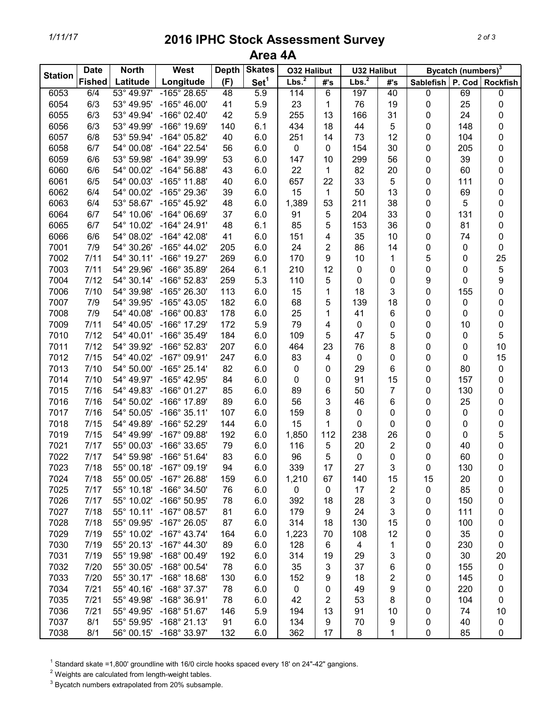## *1/11/17* **2016 IPHC Stock Assessment Survey Area 4A**

| <b>Station</b> | <b>Date</b><br><b>North</b> |            | <b>West</b>           | <b>Depth</b> | <b>Skates</b>    | <b>O32 Halibut</b> |                         | <b>U32 Halibut</b> |                | Bycatch (numbers) <sup>3</sup> |     |                 |
|----------------|-----------------------------|------------|-----------------------|--------------|------------------|--------------------|-------------------------|--------------------|----------------|--------------------------------|-----|-----------------|
|                | <b>Fished</b>               | Latitude   | Longitude             | (F)          | Set <sup>1</sup> | Lbs. <sup>2</sup>  | #'s                     | Lbs. <sup>2</sup>  | #'s            | <b>Sablefish</b>               |     | P. Cod Rockfish |
| 6053           | 6/4                         | 53° 49.97' | $-165^{\circ}$ 28.65' | 48           | 5.9              | 114                | 6                       | 197                | 40             | 0                              | 69  | 0               |
| 6054           | 6/3                         | 53° 49.95' | $-165^{\circ}$ 46.00' | 41           | 5.9              | 23                 | 1                       | 76                 | 19             | 0                              | 25  | $\pmb{0}$       |
| 6055           | 6/3                         | 53° 49.94' | $-166^{\circ}$ 02.40' | 42           | 5.9              | 255                | 13                      | 166                | 31             | 0                              | 24  | 0               |
| 6056           | 6/3                         | 53° 49.99' | -166° 19.69'          | 140          | 6.1              | 434                | 18                      | 44                 | 5              | 0                              | 148 | 0               |
| 6057           | 6/8                         | 53° 59.94' | -164° 05.82'          | 40           | 6.0              | 251                | 14                      | 73                 | 12             | 0                              | 104 | 0               |
| 6058           | 6/7                         | 54° 00.08' | -164° 22.54'          | 56           | 6.0              | $\pmb{0}$          | $\pmb{0}$               | 154                | 30             | 0                              | 205 | 0               |
| 6059           | 6/6                         | 53° 59.98' | -164° 39.99'          | 53           | 6.0              | 147                | 10                      | 299                | 56             | 0                              | 39  | 0               |
| 6060           | 6/6                         | 54° 00.02' | $-164^{\circ} 56.88'$ | 43           | 6.0              | 22                 | 1                       | 82                 | 20             | 0                              | 60  | 0               |
| 6061           | 6/5                         | 54° 00.03' | -165° 11.88'          | 40           | 6.0              | 657                | 22                      | 33                 | 5              | 0                              | 111 | 0               |
| 6062           | 6/4                         | 54° 00.02' | -165° 29.36'          | 39           | 6.0              | 15                 | 1                       | 50                 | 13             | 0                              | 69  | 0               |
| 6063           | 6/4                         | 53° 58.67' | -165° 45.92'          | 48           | 6.0              | 1,389              | 53                      | 211                | 38             | 0                              | 5   | 0               |
| 6064           | 6/7                         | 54° 10.06' | $-164^{\circ}$ 06.69' | 37           | 6.0              | 91                 | 5                       | 204                | 33             | 0                              | 131 | 0               |
| 6065           | 6/7                         | 54° 10.02' | $-164^{\circ}$ 24.91' | 48           | 6.1              | 85                 | 5                       | 153                | 36             | 0                              | 81  | 0               |
| 6066           | 6/6                         | 54° 08.02' | $-164^{\circ}$ 42.08' | 41           | 6.0              | 151                | 4                       | 35                 | 10             | 0                              | 74  | 0               |
| 7001           | 7/9                         | 54° 30.26' | $-165^{\circ}$ 44.02' | 205          | 6.0              | 24                 | $\overline{\mathbf{c}}$ | 86                 | 14             | 0                              | 0   | 0               |
| 7002           | 7/11                        | 54° 30.11' | -166° 19.27'          | 269          | 6.0              | 170                | 9                       | 10                 | 1              | 5                              | 0   | 25              |
| 7003           | 7/11                        | 54° 29.96' | -166° 35.89'          | 264          | 6.1              | 210                | 12                      | 0                  | 0              | 0                              | 0   | 5               |
| 7004           | 7/12                        | 54° 30.14' | -166° 52.83'          | 259          | 5.3              | 110                | 5                       | 0                  | 0              | 9                              | 0   | 9               |
| 7006           | 7/10                        | 54° 39.98' | -165° 26.30'          | 113          | 6.0              | 15                 | 1                       | 18                 | 3              | 0                              | 155 | 0               |
| 7007           | 7/9                         | 54° 39.95' | $-165^{\circ}$ 43.05' | 182          | 6.0              | 68                 | 5                       | 139                | 18             | 0                              | 0   | 0               |
| 7008           | 7/9                         | 54° 40.08' | -166° 00.83'          | 178          | 6.0              | 25                 | 1                       | 41                 | 6              | 0                              | 0   | 0               |
| 7009           | 7/11                        | 54° 40.05' | -166° 17.29'          | 172          | 5.9              | 79                 | 4                       | 0                  | 0              | 0                              | 10  | $\pmb{0}$       |
| 7010           | 7/12                        | 54° 40.01' | -166° 35.49'          | 184          | 6.0              | 109                | 5                       | 47                 | 5              | 0                              | 0   | 5               |
| 7011           | 7/12                        | 54° 39.92' | -166° 52.83'          | 207          | 6.0              | 464                | 23                      | 76                 | 8              | 0                              | 0   | 10              |
| 7012           | 7/15                        | 54° 40.02' | -167° 09.91'          | 247          | 6.0              | 83                 | 4                       | 0                  | 0              | 0                              | 0   | 15              |
| 7013           | 7/10                        | 54° 50.00' | $-165^{\circ}$ 25.14' | 82           | 6.0              | 0                  | 0                       | 29                 | 6              | 0                              | 80  | $\pmb{0}$       |
| 7014           | 7/10                        | 54° 49.97' | $-165^{\circ}$ 42.95' | 84           | 6.0              | 0                  | 0                       | 91                 | 15             | 0                              | 157 | 0               |
| 7015           | 7/16                        | 54° 49.83' | $-166°$ 01.27'        | 85           | 6.0              | 89                 | 6                       | 50                 | 7              | 0                              | 130 | 0               |
| 7016           | 7/16                        | 54° 50.02' | -166° 17.89'          | 89           | 6.0              | 56                 | 3                       | 46                 | 6              | 0                              | 25  | 0               |
| 7017           | 7/16                        | 54° 50.05' | $-166°35.11'$         | 107          | 6.0              | 159                | 8                       | 0                  | 0              | 0                              | 0   | 0               |
| 7018           | 7/15                        | 54° 49.89' | -166° 52.29'          | 144          | 6.0              | 15                 | 1                       | 0                  | 0              | 0                              | 0   | 0               |
| 7019           | 7/15                        | 54° 49.99' | $-167^\circ$ 09.88'   | 192          | 6.0              | 1,850              | 112                     | 238                | 26             | 0                              | 0   | 5               |
| 7021           | 7/17                        | 55° 00.03' | -166° 33.65'          | 79           | 6.0              | 116                | 5                       | 20                 | 2              | 0                              | 40  | 0               |
| 7022           | 7/17                        | 54° 59.98' | $-166°51.64'$         | 83           | 6.0              | 96                 | 5                       | 0                  | 0              | 0                              | 60  | $\mathbf 0$     |
| 7023           | 7/18                        | 55° 00.18' | $-167^\circ$ 09.19'   | 94           | 6.0              | 339                | 17                      | 27                 | 3              | 0                              | 130 | 0               |
| 7024           | 7/18                        | 55° 00.05' | $-167^{\circ}$ 26.88' | 159          | 6.0              | 1,210              | 67                      | 140                | 15             | 15                             | 20  | 0               |
| 7025           | 7/17                        | 55° 10.18' | $-166^{\circ}$ 34.50' | 76           | 6.0              | 0                  | 0                       | 17                 | $\overline{2}$ | 0                              | 85  | 0               |
| 7026           | 7/17                        | 55° 10.02' | $-166^{\circ} 50.95'$ | 78           | 6.0              | 392                | 18                      | 28                 | 3              | 0                              | 150 | 0               |
| 7027           | 7/18                        | 55° 10.11' | $-167^\circ$ 08.57'   | 81           | 6.0              | 179                | 9                       | 24                 | 3              | 0                              | 111 | 0               |
| 7028           | 7/18                        | 55° 09.95' | $-167^{\circ}$ 26.05' | 87           | 6.0              | 314                | 18                      | 130                | 15             | 0                              | 100 | 0               |
| 7029           | 7/19                        | 55° 10.02' | $-167^\circ$ 43.74'   | 164          | 6.0              | 1,223              | 70                      | 108                | 12             | 0                              | 35  | 0               |
| 7030           | 7/19                        | 55° 20.13' | $-167^{\circ}$ 44.30' | 89           | 6.0              | 128                | 6                       | 4                  | 1              | 0                              | 230 | 0               |
| 7031           | 7/19                        | 55° 19.98' | $-168^{\circ}$ 00.49' | 192          | 6.0              | 314                | 19                      | 29                 | 3              | 0                              | 30  | 20              |
| 7032           | 7/20                        | 55° 30.05' | $-168°00.54'$         | 78           | 6.0              | 35                 | 3                       | 37                 | 6              | 0                              | 155 | $\pmb{0}$       |
| 7033           | 7/20                        | 55° 30.17' | $-168^\circ$ 18.68'   | 130          | 6.0              | 152                | 9                       | 18                 | 2              | 0                              | 145 | 0               |
| 7034           | 7/21                        | 55° 40.16' | -168° 37.37'          | 78           | 6.0              | 0                  | 0                       | 49                 | 9              | 0                              | 220 | 0               |
| 7035           | 7/21                        | 55° 49.98' | $-168°36.91'$         | 78           | 6.0              | 42                 | 2                       | 53                 | 8              | 0                              | 104 | 0               |
| 7036           | 7/21                        | 55° 49.95' | $-168°51.67'$         | 146          | 5.9              | 194                | 13                      | 91                 | 10             | 0                              | 74  | 10              |
| 7037           | 8/1                         | 55° 59.95' | $-168°$ 21.13'        | 91           | 6.0              | 134                | 9                       | 70                 | 9              | 0                              | 40  | 0               |
| 7038           | 8/1                         | 56° 00.15' | -168° 33.97'          | 132          | 6.0              | 362                | 17                      | 8                  | 1              | 0                              | 85  | $\pmb{0}$       |

 $1$  Standard skate =1,800' groundline with 16/0 circle hooks spaced every 18' on 24"-42" gangions.

 $2$  Weights are calculated from length-weight tables.

 $3$  Bycatch numbers extrapolated from 20% subsample.